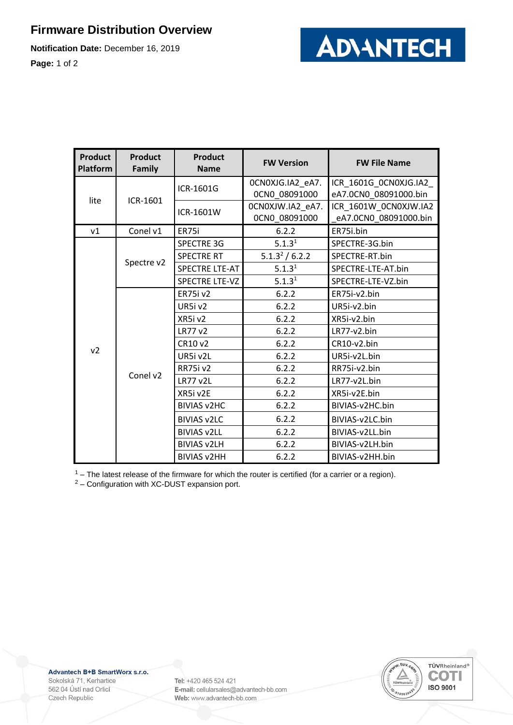## **Firmware Distribution Overview**

**Notification Date:** December 16, 2019

**Page:** 1 of 2



| <b>Product</b><br><b>Platform</b> | <b>Product</b><br><b>Family</b> | <b>Product</b><br><b>Name</b> | <b>FW Version</b>                 | <b>FW File Name</b>                             |
|-----------------------------------|---------------------------------|-------------------------------|-----------------------------------|-------------------------------------------------|
| lite                              | ICR-1601                        | ICR-1601G                     | OCNOXJG.IA2_eA7.<br>OCNO 08091000 | ICR_1601G_0CN0XJG.IA2_<br>eA7.0CN0 08091000.bin |
|                                   |                                 | ICR-1601W                     | OCNOXJW.IA2_eA7.<br>0CN0_08091000 | ICR_1601W_0CN0XJW.IA2<br>eA7.0CN0_08091000.bin  |
| v1                                | Conel v1                        | ER75i                         | 6.2.2                             | ER75i.bin                                       |
| v <sub>2</sub>                    | Spectre v2                      | <b>SPECTRE 3G</b>             | 5.1.3 <sup>1</sup>                | SPECTRE-3G.bin                                  |
|                                   |                                 | <b>SPECTRE RT</b>             | 5.1.3 <sup>2</sup> / 6.2.2        | SPECTRE-RT.bin                                  |
|                                   |                                 | <b>SPECTRE LTE-AT</b>         | 5.1.3 <sup>1</sup>                | SPECTRE-LTE-AT.bin                              |
|                                   |                                 | <b>SPECTRE LTE-VZ</b>         | 5.1.3 <sup>1</sup>                | SPECTRE-LTE-VZ.bin                              |
|                                   | Conel v2                        | <b>ER75i v2</b>               | 6.2.2                             | ER75i-v2.bin                                    |
|                                   |                                 | UR5i v2                       | 6.2.2                             | UR5i-v2.bin                                     |
|                                   |                                 | XR5iv2                        | 6.2.2                             | XR5i-v2.bin                                     |
|                                   |                                 | LR77 v2                       | 6.2.2                             | LR77-v2.bin                                     |
|                                   |                                 | CR10 v2                       | 6.2.2                             | CR10-v2.bin                                     |
|                                   |                                 | UR5i v2L                      | 6.2.2                             | UR5i-v2L.bin                                    |
|                                   |                                 | <b>RR75i v2</b>               | 6.2.2                             | RR75i-v2.bin                                    |
|                                   |                                 | <b>LR77 v2L</b>               | 6.2.2                             | LR77-v2L.bin                                    |
|                                   |                                 | XR5i v2E                      | 6.2.2                             | XR5i-v2E.bin                                    |
|                                   |                                 | <b>BIVIAS v2HC</b>            | 6.2.2                             | BIVIAS-v2HC.bin                                 |
|                                   |                                 | <b>BIVIAS v2LC</b>            | 6.2.2                             | BIVIAS-v2LC.bin                                 |
|                                   |                                 | <b>BIVIAS v2LL</b>            | 6.2.2                             | BIVIAS-v2LL.bin                                 |
|                                   |                                 | <b>BIVIAS v2LH</b>            | 6.2.2                             | BIVIAS-v2LH.bin                                 |
|                                   |                                 | <b>BIVIAS v2HH</b>            | 6.2.2                             | BIVIAS-v2HH.bin                                 |

 $1 -$  The latest release of the firmware for which the router is certified (for a carrier or a region).

<sup>2</sup> – Configuration with XC-DUST expansion port.

Advantech B+B SmartWorx s.r.o.

Sokolská 71, Kerhartice 562 04 Ústí nad Orlicí Czech Republic

Tel: +420 465 524 421 E-mail: cellularsales@advantech-bb.com Web: www.advantech-bb.com